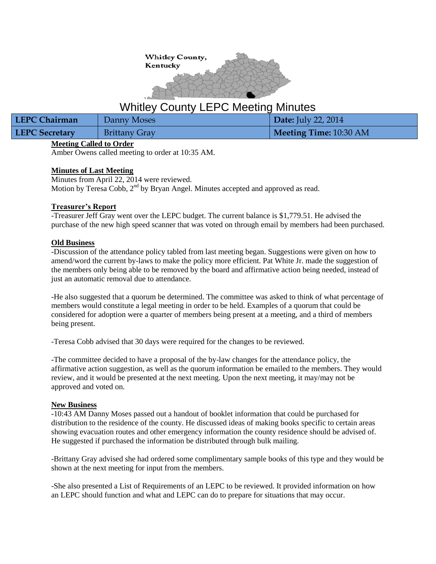

# Whitley County LEPC Meeting Minutes

| LEPC Chairman         | Danny Moses          | Date: July 22, 2014    |
|-----------------------|----------------------|------------------------|
| <b>LEPC Secretary</b> | <b>Brittany Gray</b> | Meeting Time: 10:30 AM |

## **Meeting Called to Order**

Amber Owens called meeting to order at 10:35 AM.

# **Minutes of Last Meeting**

Minutes from April 22, 2014 were reviewed. Motion by Teresa Cobb,  $2<sup>nd</sup>$  by Bryan Angel. Minutes accepted and approved as read.

# **Treasurer's Report**

-Treasurer Jeff Gray went over the LEPC budget. The current balance is \$1,779.51. He advised the purchase of the new high speed scanner that was voted on through email by members had been purchased.

# **Old Business**

-Discussion of the attendance policy tabled from last meeting began. Suggestions were given on how to amend/word the current by-laws to make the policy more efficient. Pat White Jr. made the suggestion of the members only being able to be removed by the board and affirmative action being needed, instead of just an automatic removal due to attendance.

-He also suggested that a quorum be determined. The committee was asked to think of what percentage of members would constitute a legal meeting in order to be held. Examples of a quorum that could be considered for adoption were a quarter of members being present at a meeting, and a third of members being present.

-Teresa Cobb advised that 30 days were required for the changes to be reviewed.

-The committee decided to have a proposal of the by-law changes for the attendance policy, the affirmative action suggestion, as well as the quorum information be emailed to the members. They would review, and it would be presented at the next meeting. Upon the next meeting, it may/may not be approved and voted on.

## **New Business**

-10:43 AM Danny Moses passed out a handout of booklet information that could be purchased for distribution to the residence of the county. He discussed ideas of making books specific to certain areas showing evacuation routes and other emergency information the county residence should be advised of. He suggested if purchased the information be distributed through bulk mailing.

-Brittany Gray advised she had ordered some complimentary sample books of this type and they would be shown at the next meeting for input from the members.

-She also presented a List of Requirements of an LEPC to be reviewed. It provided information on how an LEPC should function and what and LEPC can do to prepare for situations that may occur.